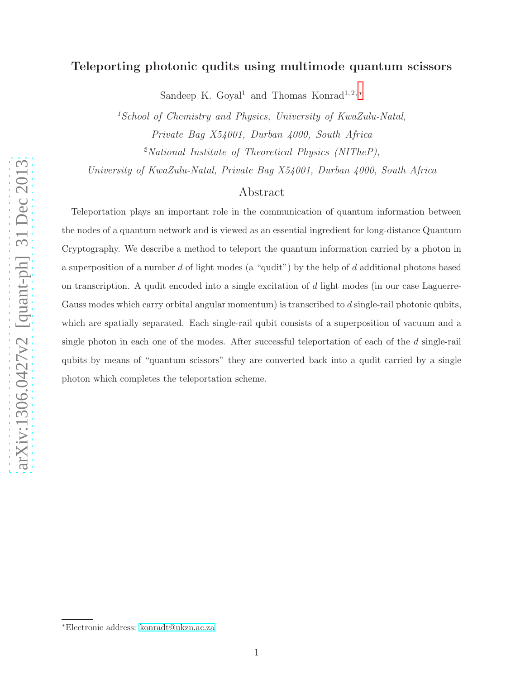# Teleporting photonic qudits using multimode quantum scissors

Sandeep K. Goyal<sup>1</sup> and Thomas Konrad<sup>1,2,\*</sup>

 $1$ School of Chemistry and Physics, University of KwaZulu-Natal, Private Bag X54001, Durban 4000, South Africa

 $\alpha^2$ National Institute of Theoretical Physics (NITheP),

University of KwaZulu-Natal, Private Bag X54001, Durban 4000, South Africa

# Abstract

Teleportation plays an important role in the communication of quantum information between the nodes of a quantum network and is viewed as an essential ingredient for long-distance Quantum Cryptography. We describe a method to teleport the quantum information carried by a photon in a superposition of a number  $d$  of light modes (a "qudit") by the help of  $d$  additional photons based on transcription. A qudit encoded into a single excitation of d light modes (in our case Laguerre-Gauss modes which carry orbital angular momentum) is transcribed to  $d$  single-rail photonic qubits, which are spatially separated. Each single-rail qubit consists of a superposition of vacuum and a single photon in each one of the modes. After successful teleportation of each of the d single-rail qubits by means of "quantum scissors" they are converted back into a qudit carried by a single photon which completes the teleportation scheme.

<span id="page-0-0"></span><sup>∗</sup>Electronic address: [konradt@ukzn.ac.za](mailto:konradt@ukzn.ac.za)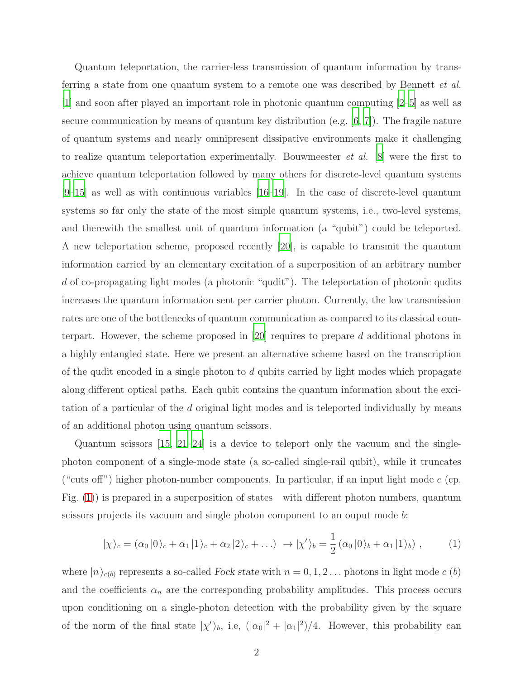Quantum teleportation, the carrier-less transmission of quantum information by transferring a state from one quantum system to a remote one was described by Bennett *et al.* [\[1](#page-9-0)] and soon after played an important role in photonic quantum computing [\[2](#page-9-1)[–5](#page-10-0)] as well as secure communication by means of quantum key distribution (e.g.  $[6, 7]$  $[6, 7]$ ). The fragile nature of quantum systems and nearly omnipresent dissipative environments make it challenging to realize quantum teleportation experimentally. Bouwmeester *et al.* [\[8](#page-10-3)] were the first to achieve quantum teleportation followed by many others for discrete-level quantum systems [\[9](#page-10-4)[–15\]](#page-10-5) as well as with continuous variables [\[16](#page-10-6)[–19](#page-11-0)]. In the case of discrete-level quantum systems so far only the state of the most simple quantum systems, i.e., two-level systems, and therewith the smallest unit of quantum information (a "qubit") could be teleported. A new teleportation scheme, proposed recently [\[20\]](#page-11-1), is capable to transmit the quantum information carried by an elementary excitation of a superposition of an arbitrary number d of co-propagating light modes (a photonic "qudit"). The teleportation of photonic qudits increases the quantum information sent per carrier photon. Currently, the low transmission rates are one of the bottlenecks of quantum communication as compared to its classical counterpart. However, the scheme proposed in [\[20\]](#page-11-1) requires to prepare d additional photons in a highly entangled state. Here we present an alternative scheme based on the transcription of the qudit encoded in a single photon to  $d$  qubits carried by light modes which propagate along different optical paths. Each qubit contains the quantum information about the excitation of a particular of the d original light modes and is teleported individually by means of an additional photon using quantum scissors.

Quantum scissors  $[15, 21-24]$  $[15, 21-24]$  $[15, 21-24]$  is a device to teleport only the vacuum and the singlephoton component of a single-mode state (a so-called single-rail qubit), while it truncates ("cuts off") higher photon-number components. In particular, if an input light mode  $c$  (cp. Fig. [\(1\)](#page-2-0)) is prepared in a superposition of states with different photon numbers, quantum scissors projects its vacuum and single photon component to an ouput mode b:

<span id="page-1-0"></span>
$$
|\chi\rangle_c = (\alpha_0 |0\rangle_c + \alpha_1 |1\rangle_c + \alpha_2 |2\rangle_c + \ldots) \rightarrow |\chi'\rangle_b = \frac{1}{2} (\alpha_0 |0\rangle_b + \alpha_1 |1\rangle_b) , \qquad (1)
$$

where  $|n\rangle_{c(b)}$  represents a so-called Fock state with  $n = 0, 1, 2...$  photons in light mode c (b) and the coefficients  $\alpha_n$  are the corresponding probability amplitudes. This process occurs upon conditioning on a single-photon detection with the probability given by the square of the norm of the final state  $|\chi'\rangle_b$ , i.e,  $(|\alpha_0|^2 + |\alpha_1|^2)/4$ . However, this probability can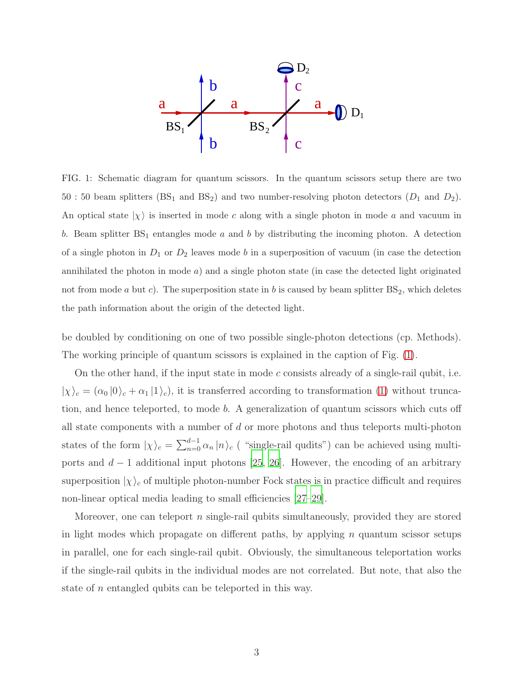

<span id="page-2-0"></span>FIG. 1: Schematic diagram for quantum scissors. In the quantum scissors setup there are two 50 : 50 beam splitters ( $BS_1$  and  $BS_2$ ) and two number-resolving photon detectors ( $D_1$  and  $D_2$ ). An optical state  $|\chi\rangle$  is inserted in mode c along with a single photon in mode a and vacuum in b. Beam splitter  $BS_1$  entangles mode a and b by distributing the incoming photon. A detection of a single photon in  $D_1$  or  $D_2$  leaves mode b in a superposition of vacuum (in case the detection annihilated the photon in mode  $a$ ) and a single photon state (in case the detected light originated not from mode a but c). The superposition state in b is caused by beam splitter  $BS_2$ , which deletes the path information about the origin of the detected light.

be doubled by conditioning on one of two possible single-photon detections (cp. Methods). The working principle of quantum scissors is explained in the caption of Fig. [\(1\)](#page-2-0).

On the other hand, if the input state in mode c consists already of a single-rail qubit, i.e.  $|\chi\rangle_c = (\alpha_0 |0\rangle_c + \alpha_1 |1\rangle_c)$ , it is transferred according to transformation [\(1\)](#page-1-0) without truncation, and hence teleported, to mode b. A generalization of quantum scissors which cuts off all state components with a number of  $d$  or more photons and thus teleports multi-photon states of the form  $|\chi\rangle_c = \sum_{n=0}^{d-1} \alpha_n |n\rangle_c$  ( "single-rail qudits") can be achieved using multiports and  $d-1$  additional input photons [\[25](#page-11-4), [26\]](#page-11-5). However, the encoding of an arbitrary superposition  $|\chi\rangle_c$  of multiple photon-number Fock states is in practice difficult and requires non-linear optical media leading to small efficiencies [\[27](#page-11-6)[–29](#page-11-7)].

Moreover, one can teleport n single-rail qubits simultaneously, provided they are stored in light modes which propagate on different paths, by applying n quantum scissor setups in parallel, one for each single-rail qubit. Obviously, the simultaneous teleportation works if the single-rail qubits in the individual modes are not correlated. But note, that also the state of n entangled qubits can be teleported in this way.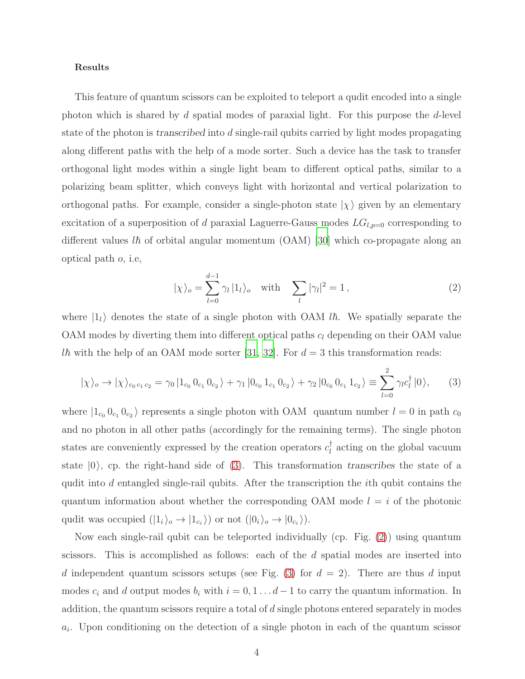### Results

This feature of quantum scissors can be exploited to teleport a qudit encoded into a single photon which is shared by d spatial modes of paraxial light. For this purpose the  $d$ -level state of the photon is transcribed into d single-rail qubits carried by light modes propagating along different paths with the help of a mode sorter. Such a device has the task to transfer orthogonal light modes within a single light beam to different optical paths, similar to a polarizing beam splitter, which conveys light with horizontal and vertical polarization to orthogonal paths. For example, consider a single-photon state  $|\chi\rangle$  given by an elementary excitation of a superposition of d paraxial Laguerre-Gauss modes  $LG_{l,p=0}$  corresponding to different values l $\hbar$  of orbital angular momentum (OAM) [\[30](#page-11-8)] which co-propagate along an optical path o, i.e,

<span id="page-3-1"></span><span id="page-3-0"></span>
$$
|\chi\rangle_o = \sum_{l=0}^{d-1} \gamma_l |1_l\rangle_o \quad \text{with} \quad \sum_l |\gamma_l|^2 = 1, \tag{2}
$$

where  $|1_i\rangle$  denotes the state of a single photon with OAM *lh*. We spatially separate the OAM modes by diverting them into different optical paths  $c_l$  depending on their OAM value *lh* with the help of an OAM mode sorter [\[31,](#page-11-9) [32\]](#page-11-10). For  $d = 3$  this transformation reads:

$$
|\chi\rangle_o \to |\chi\rangle_{c_0 c_1 c_2} = \gamma_0 |1_{c_0} 0_{c_1} 0_{c_2}\rangle + \gamma_1 |0_{c_0} 1_{c_1} 0_{c_2}\rangle + \gamma_2 |0_{c_0} 0_{c_1} 1_{c_2}\rangle \equiv \sum_{l=0}^2 \gamma_l c_l^{\dagger} |0\rangle, \tag{3}
$$

where  $|1_{c_0} 0_{c_1} 0_{c_2}\rangle$  represents a single photon with OAM quantum number  $l = 0$  in path  $c_0$ and no photon in all other paths (accordingly for the remaining terms). The single photon states are conveniently expressed by the creation operators  $c_l^{\dagger}$  acting on the global vacuum state  $|0\rangle$ , cp. the right-hand side of [\(3\)](#page-3-0). This transformation transcribes the state of a qudit into d entangled single-rail qubits. After the transcription the  $i$ th qubit contains the quantum information about whether the corresponding OAM mode  $l = i$  of the photonic qudit was occupied  $(|1_i\rangle_o \rightarrow |1_{c_i}\rangle)$  or not  $(|0_i\rangle_o \rightarrow |0_{c_i}\rangle)$ .

Now each single-rail qubit can be teleported individually (cp. Fig. [\(2\)](#page-4-0)) using quantum scissors. This is accomplished as follows: each of the d spatial modes are inserted into d independent quantum scissors setups (see Fig. [\(3\)](#page-6-0) for  $d = 2$ ). There are thus d input modes  $c_i$  and d output modes  $b_i$  with  $i = 0, 1 \dots d-1$  to carry the quantum information. In addition, the quantum scissors require a total of d single photons entered separately in modes  $a_i$ . Upon conditioning on the detection of a single photon in each of the quantum scissor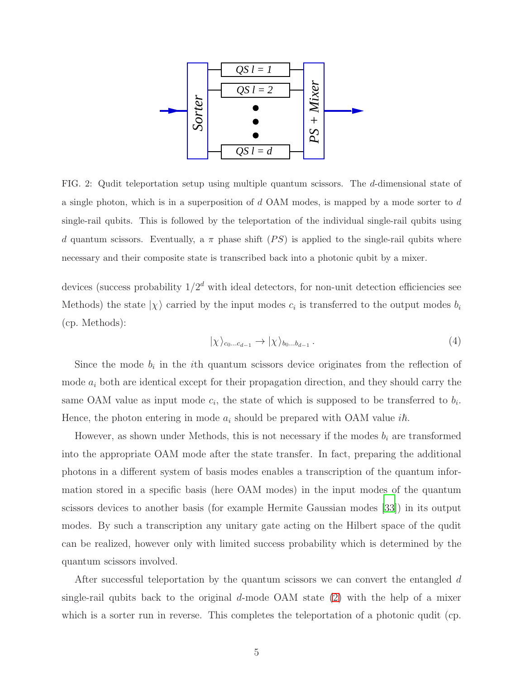

<span id="page-4-0"></span>FIG. 2: Qudit teleportation setup using multiple quantum scissors. The d-dimensional state of a single photon, which is in a superposition of d OAM modes, is mapped by a mode sorter to d single-rail qubits. This is followed by the teleportation of the individual single-rail qubits using d quantum scissors. Eventually, a  $\pi$  phase shift (PS) is applied to the single-rail qubits where necessary and their composite state is transcribed back into a photonic qubit by a mixer.

devices (success probability  $1/2^d$  with ideal detectors, for non-unit detection efficiencies see Methods) the state  $|\chi\rangle$  carried by the input modes  $c_i$  is transferred to the output modes  $b_i$ (cp. Methods):

<span id="page-4-1"></span>
$$
|\chi\rangle_{c_0...c_{d-1}} \to |\chi\rangle_{b_0...b_{d-1}}.
$$
\n
$$
(4)
$$

Since the mode  $b_i$  in the *i*th quantum scissors device originates from the reflection of mode  $a_i$  both are identical except for their propagation direction, and they should carry the same OAM value as input mode  $c_i$ , the state of which is supposed to be transferred to  $b_i$ . Hence, the photon entering in mode  $a_i$  should be prepared with OAM value  $i\hbar$ .

However, as shown under Methods, this is not necessary if the modes  $b_i$  are transformed into the appropriate OAM mode after the state transfer. In fact, preparing the additional photons in a different system of basis modes enables a transcription of the quantum information stored in a specific basis (here OAM modes) in the input modes of the quantum scissors devices to another basis (for example Hermite Gaussian modes [\[33](#page-12-0)]) in its output modes. By such a transcription any unitary gate acting on the Hilbert space of the qudit can be realized, however only with limited success probability which is determined by the quantum scissors involved.

After successful teleportation by the quantum scissors we can convert the entangled d single-rail qubits back to the original  $d$ -mode OAM state [\(2\)](#page-3-1) with the help of a mixer which is a sorter run in reverse. This completes the teleportation of a photonic qudit (cp.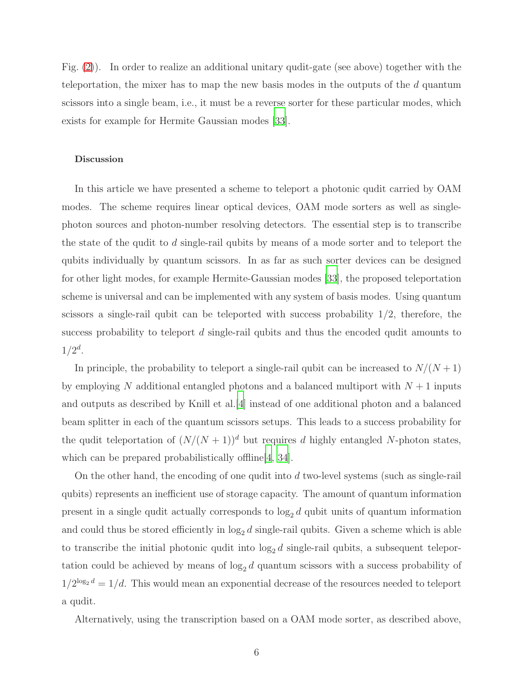Fig. [\(2\)](#page-4-0)). In order to realize an additional unitary qudit-gate (see above) together with the teleportation, the mixer has to map the new basis modes in the outputs of the d quantum scissors into a single beam, i.e., it must be a reverse sorter for these particular modes, which exists for example for Hermite Gaussian modes [\[33\]](#page-12-0).

#### Discussion

In this article we have presented a scheme to teleport a photonic qudit carried by OAM modes. The scheme requires linear optical devices, OAM mode sorters as well as singlephoton sources and photon-number resolving detectors. The essential step is to transcribe the state of the qudit to d single-rail qubits by means of a mode sorter and to teleport the qubits individually by quantum scissors. In as far as such sorter devices can be designed for other light modes, for example Hermite-Gaussian modes [\[33](#page-12-0)], the proposed teleportation scheme is universal and can be implemented with any system of basis modes. Using quantum scissors a single-rail qubit can be teleported with success probability 1/2, therefore, the success probability to teleport d single-rail qubits and thus the encoded qudit amounts to  $1/2^d$ .

In principle, the probability to teleport a single-rail qubit can be increased to  $N/(N+1)$ by employing N additional entangled photons and a balanced multiport with  $N+1$  inputs and outputs as described by Knill et al.[\[4](#page-10-7)] instead of one additional photon and a balanced beam splitter in each of the quantum scissors setups. This leads to a success probability for the qudit teleportation of  $(N/(N+1))^d$  but requires d highly entangled N-photon states, which can be prepared probabilistically offline [\[4,](#page-10-7) [34\]](#page-12-1).

On the other hand, the encoding of one qudit into  $d$  two-level systems (such as single-rail qubits) represents an inefficient use of storage capacity. The amount of quantum information present in a single qudit actually corresponds to  $\log_2 d$  qubit units of quantum information and could thus be stored efficiently in  $\log_2 d$  single-rail qubits. Given a scheme which is able to transcribe the initial photonic qudit into  $log_2 d$  single-rail qubits, a subsequent teleportation could be achieved by means of  $log_2 d$  quantum scissors with a success probability of  $1/2^{\log_2 d} = 1/d$ . This would mean an exponential decrease of the resources needed to teleport a qudit.

Alternatively, using the transcription based on a OAM mode sorter, as described above,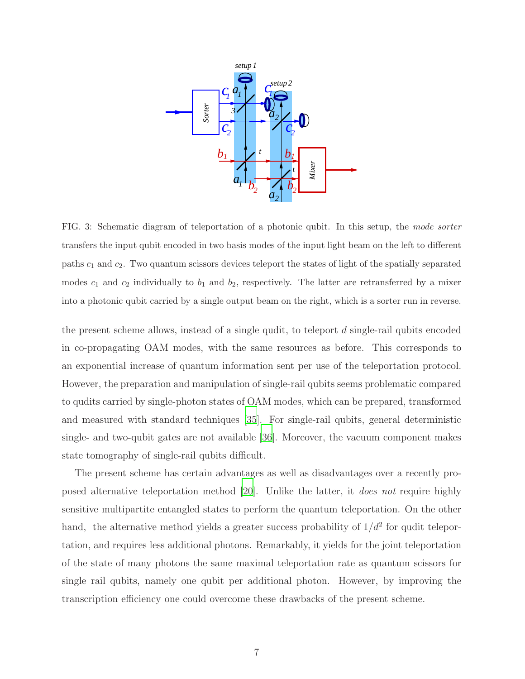

<span id="page-6-0"></span>FIG. 3: Schematic diagram of teleportation of a photonic qubit. In this setup, the mode sorter transfers the input qubit encoded in two basis modes of the input light beam on the left to different paths  $c_1$  and  $c_2$ . Two quantum scissors devices teleport the states of light of the spatially separated modes  $c_1$  and  $c_2$  individually to  $b_1$  and  $b_2$ , respectively. The latter are retransferred by a mixer into a photonic qubit carried by a single output beam on the right, which is a sorter run in reverse.

the present scheme allows, instead of a single qudit, to teleport  $d$  single-rail qubits encoded in co-propagating OAM modes, with the same resources as before. This corresponds to an exponential increase of quantum information sent per use of the teleportation protocol. However, the preparation and manipulation of single-rail qubits seems problematic compared to qudits carried by single-photon states of OAM modes, which can be prepared, transformed and measured with standard techniques [\[35\]](#page-12-2). For single-rail qubits, general deterministic single- and two-qubit gates are not available [\[36\]](#page-12-3). Moreover, the vacuum component makes state tomography of single-rail qubits difficult.

The present scheme has certain advantages as well as disadvantages over a recently proposed alternative teleportation method [\[20](#page-11-1)]. Unlike the latter, it does not require highly sensitive multipartite entangled states to perform the quantum teleportation. On the other hand, the alternative method yields a greater success probability of  $1/d^2$  for qudit teleportation, and requires less additional photons. Remarkably, it yields for the joint teleportation of the state of many photons the same maximal teleportation rate as quantum scissors for single rail qubits, namely one qubit per additional photon. However, by improving the transcription efficiency one could overcome these drawbacks of the present scheme.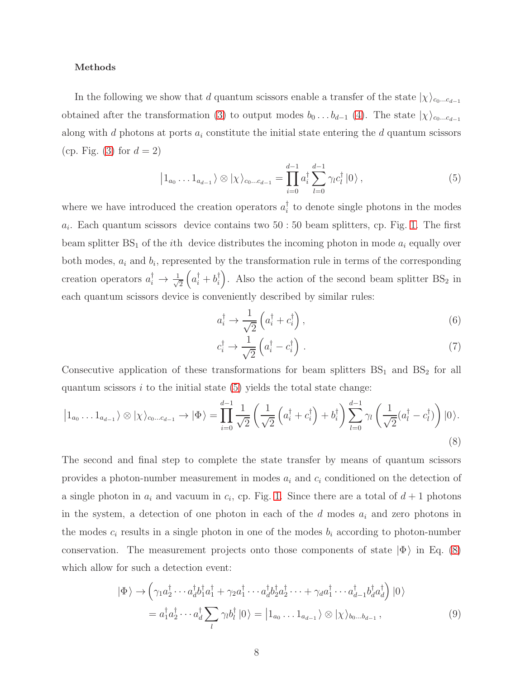#### Methods

In the following we show that d quantum scissors enable a transfer of the state  $|\chi\rangle_{c_0...c_{d-1}}$ obtained after the transformation [\(3\)](#page-3-0) to output modes  $b_0 \ldots b_{d-1}$  [\(4\)](#page-4-1). The state  $|\chi\rangle_{c_0...c_{d-1}}$ along with d photons at ports  $a_i$  constitute the initial state entering the d quantum scissors (cp. Fig. [\(3\)](#page-6-0) for  $d=2$ )

$$
\left|1_{a_0}\dots 1_{a_{d-1}}\right\rangle \otimes \left|\chi\right\rangle_{c_0\dots c_{d-1}} = \prod_{i=0}^{d-1} a_i^{\dagger} \sum_{l=0}^{d-1} \gamma_l c_l^{\dagger} \left|0\right\rangle, \tag{5}
$$

where we have introduced the creation operators  $a_i^{\dagger}$  to denote single photons in the modes  $a_i$ . Each quantum scissors device contains two 50 : 50 beam splitters, cp. Fig. [1.](#page-2-0) The first beam splitter  $BS_1$  of the *i*th device distributes the incoming photon in mode  $a_i$  equally over both modes,  $a_i$  and  $b_i$ , represented by the transformation rule in terms of the corresponding creation operators  $a_i^{\dagger} \rightarrow \frac{1}{\sqrt{2}}$ 2  $(a_i^{\dagger} + b_i^{\dagger})$ . Also the action of the second beam splitter BS<sub>2</sub> in each quantum scissors device is conveniently described by similar rules:

<span id="page-7-0"></span>
$$
a_i^{\dagger} \to \frac{1}{\sqrt{2}} \left( a_i^{\dagger} + c_i^{\dagger} \right), \tag{6}
$$

<span id="page-7-2"></span><span id="page-7-1"></span>
$$
c_i^{\dagger} \to \frac{1}{\sqrt{2}} \left( a_i^{\dagger} - c_i^{\dagger} \right) . \tag{7}
$$

Consecutive application of these transformations for beam splitters  $BS_1$  and  $BS_2$  for all quantum scissors  $i$  to the initial state [\(5\)](#page-7-0) yields the total state change:

$$
\left|1_{a_0}\dots1_{a_{d-1}}\right\rangle \otimes \left|\chi\right\rangle_{c_0\dots c_{d-1}} \to \left|\Phi\right\rangle = \prod_{i=0}^{d-1} \frac{1}{\sqrt{2}} \left(\frac{1}{\sqrt{2}}\left(a_i^\dagger + c_i^\dagger\right) + b_i^\dagger\right) \sum_{l=0}^{d-1} \gamma_l \left(\frac{1}{\sqrt{2}}(a_l^\dagger - c_l^\dagger)\right) \left|0\right\rangle. \tag{8}
$$

The second and final step to complete the state transfer by means of quantum scissors provides a photon-number measurement in modes  $a_i$  and  $c_i$  conditioned on the detection of a single photon in  $a_i$  and vacuum in  $c_i$ , cp. Fig. [1.](#page-2-0) Since there are a total of  $d+1$  photons in the system, a detection of one photon in each of the  $d$  modes  $a_i$  and zero photons in the modes  $c_i$  results in a single photon in one of the modes  $b_i$  according to photon-number conservation. The measurement projects onto those components of state  $|\Phi\rangle$  in Eq. [\(8\)](#page-7-1) which allow for such a detection event:

<span id="page-7-3"></span>
$$
|\Phi\rangle \rightarrow \left(\gamma_1 a_2^{\dagger} \cdots a_d^{\dagger} b_1^{\dagger} a_1^{\dagger} + \gamma_2 a_1^{\dagger} \cdots a_d^{\dagger} b_2^{\dagger} a_2^{\dagger} \cdots + \gamma_d a_1^{\dagger} \cdots a_{d-1}^{\dagger} b_d^{\dagger} a_d^{\dagger}\right)|0\rangle
$$
  
=  $a_1^{\dagger} a_2^{\dagger} \cdots a_d^{\dagger} \sum_{l} \gamma_l b_l^{\dagger}|0\rangle = |1_{a_0} \ldots 1_{a_{d-1}}\rangle \otimes |\chi\rangle_{b_0 \ldots b_{d-1}},$  (9)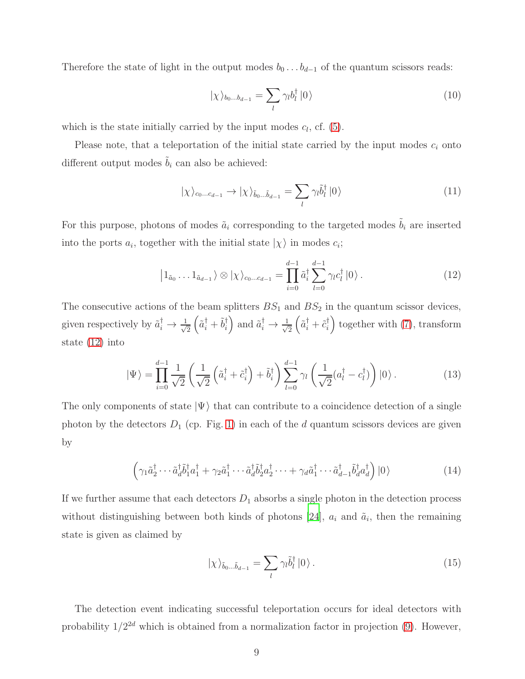Therefore the state of light in the output modes  $b_0 \ldots b_{d-1}$  of the quantum scissors reads:

$$
|\chi\rangle_{b_0...b_{d-1}} = \sum_{l} \gamma_l b_l^{\dagger} |0\rangle
$$
 (10)

which is the state initially carried by the input modes  $c_l$ , cf.  $(5)$ .

Please note, that a teleportation of the initial state carried by the input modes  $c_i$  onto different output modes  $\tilde{b}_i$  can also be achieved:

<span id="page-8-0"></span>
$$
|\chi\rangle_{c_0...c_{d-1}} \to |\chi\rangle_{\tilde{b}_0...\tilde{b}_{d-1}} = \sum_{l} \gamma_l \tilde{b}_l^{\dagger} |0\rangle
$$
 (11)

For this purpose, photons of modes  $\tilde{a}_i$  corresponding to the targeted modes  $\tilde{b}_i$  are inserted into the ports  $a_i$ , together with the initial state  $|\chi\rangle$  in modes  $c_i$ ;

$$
\left|1_{\tilde{a}_0}\dots 1_{\tilde{a}_{d-1}}\right\rangle \otimes \left|\chi\right\rangle_{c_0\dots c_{d-1}} = \prod_{i=0}^{d-1} \tilde{a}_i^{\dagger} \sum_{l=0}^{d-1} \gamma_l c_l^{\dagger} \left|0\right\rangle.
$$
 (12)

The consecutive actions of the beam splitters  $BS_1$  and  $BS_2$  in the quantum scissor devices, given respectively by  $\tilde{a}_i^{\dagger} \rightarrow \frac{1}{\sqrt{}}$ 2  $\left(\tilde{a}_i^{\dagger} + \tilde{b}_i^{\dagger}\right)$  and  $\tilde{a}_i^{\dagger} \rightarrow \frac{1}{\sqrt{2}}$ 2  $\left(\tilde{a}_{i}^{\dagger}+\tilde{c}_{i}^{\dagger}\right)$  together with [\(7\)](#page-7-2), transform state [\(12\)](#page-8-0) into

$$
|\Psi\rangle = \prod_{i=0}^{d-1} \frac{1}{\sqrt{2}} \left( \frac{1}{\sqrt{2}} \left( \tilde{a}_i^\dagger + \tilde{c}_i^\dagger \right) + \tilde{b}_i^\dagger \right) \sum_{l=0}^{d-1} \gamma_l \left( \frac{1}{\sqrt{2}} (a_l^\dagger - c_l^\dagger) \right) |0\rangle. \tag{13}
$$

The only components of state  $|\Psi\rangle$  that can contribute to a coincidence detection of a single photon by the detectors  $D_1$  (cp. Fig. [1\)](#page-2-0) in each of the d quantum scissors devices are given by

$$
\left(\gamma_1 \tilde{a}_2^{\dagger} \cdots \tilde{a}_d^{\dagger} \tilde{b}_1^{\dagger} a_1^{\dagger} + \gamma_2 \tilde{a}_1^{\dagger} \cdots \tilde{a}_d^{\dagger} \tilde{b}_2^{\dagger} a_2^{\dagger} \cdots + \gamma_d \tilde{a}_1^{\dagger} \cdots \tilde{a}_{d-1}^{\dagger} \tilde{b}_d^{\dagger} a_d^{\dagger}\right)|0\rangle\tag{14}
$$

If we further assume that each detectors  $D_1$  absorbs a single photon in the detection process without distinguishing between both kinds of photons [\[24](#page-11-3)],  $a_i$  and  $\tilde{a}_i$ , then the remaining state is given as claimed by

$$
|\chi\rangle_{\tilde{b}_0...\tilde{b}_{d-1}} = \sum_{l} \gamma_l \tilde{b}_l^{\dagger} |0\rangle.
$$
 (15)

The detection event indicating successful teleportation occurs for ideal detectors with probability  $1/2^{2d}$  which is obtained from a normalization factor in projection [\(9\)](#page-7-3). However,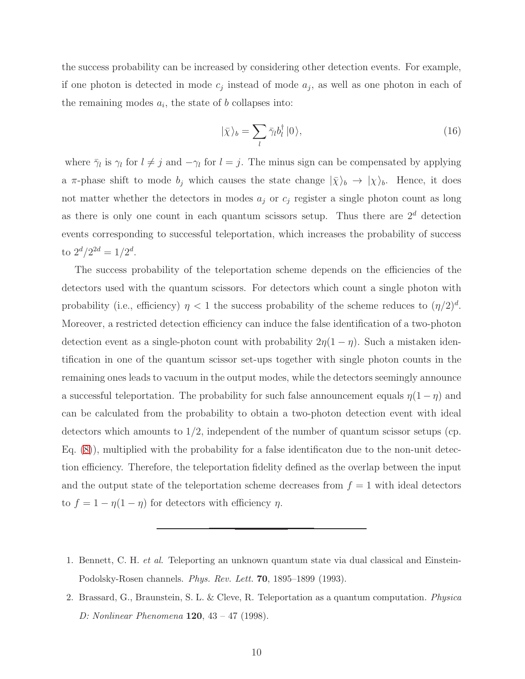the success probability can be increased by considering other detection events. For example, if one photon is detected in mode  $c_j$  instead of mode  $a_j$ , as well as one photon in each of the remaining modes  $a_i$ , the state of b collapses into:

$$
|\bar{\chi}\rangle_b = \sum_l \bar{\gamma}_l b_l^\dagger |0\rangle,\tag{16}
$$

where  $\bar{\gamma}_l$  is  $\gamma_l$  for  $l \neq j$  and  $-\gamma_l$  for  $l = j$ . The minus sign can be compensated by applying a  $\pi$ -phase shift to mode  $b_j$  which causes the state change  $|\bar{\chi}\rangle_b \to |\chi\rangle_b$ . Hence, it does not matter whether the detectors in modes  $a_j$  or  $c_j$  register a single photon count as long as there is only one count in each quantum scissors setup. Thus there are  $2<sup>d</sup>$  detection events corresponding to successful teleportation, which increases the probability of success to  $2^d/2^{2d} = 1/2^d$ .

The success probability of the teleportation scheme depends on the efficiencies of the detectors used with the quantum scissors. For detectors which count a single photon with probability (i.e., efficiency)  $\eta < 1$  the success probability of the scheme reduces to  $(\eta/2)^d$ . Moreover, a restricted detection efficiency can induce the false identification of a two-photon detection event as a single-photon count with probability  $2\eta(1-\eta)$ . Such a mistaken identification in one of the quantum scissor set-ups together with single photon counts in the remaining ones leads to vacuum in the output modes, while the detectors seemingly announce a successful teleportation. The probability for such false announcement equals  $\eta(1-\eta)$  and can be calculated from the probability to obtain a two-photon detection event with ideal detectors which amounts to  $1/2$ , independent of the number of quantum scissor setups (cp. Eq. [\(8\)](#page-7-1)), multiplied with the probability for a false identificaton due to the non-unit detection efficiency. Therefore, the teleportation fidelity defined as the overlap between the input and the output state of the teleportation scheme decreases from  $f = 1$  with ideal detectors to  $f = 1 - \eta(1 - \eta)$  for detectors with efficiency  $\eta$ .

- <span id="page-9-0"></span>1. Bennett, C. H. et al. Teleporting an unknown quantum state via dual classical and Einstein-Podolsky-Rosen channels. Phys. Rev. Lett. 70, 1895–1899 (1993).
- <span id="page-9-1"></span>2. Brassard, G., Braunstein, S. L. & Cleve, R. Teleportation as a quantum computation. Physica D: Nonlinear Phenomena 120, 43 – 47 (1998).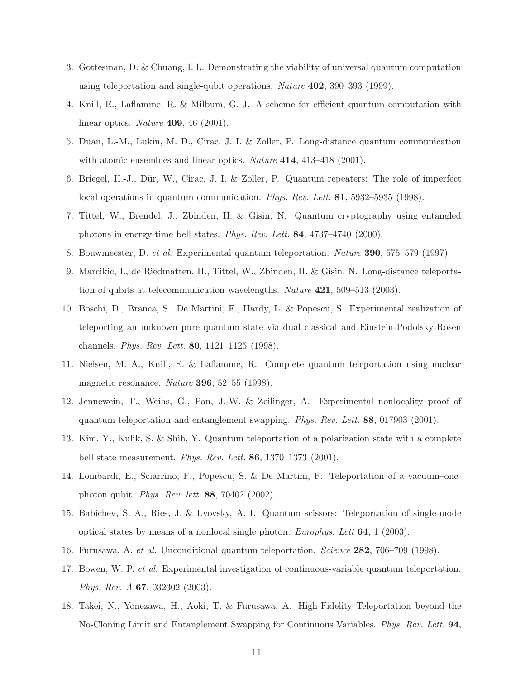- 3. Gottesman, D. & Chuang, I. L. Demonstrating the viability of universal quantum computation using teleportation and single-qubit operations. Nature 402, 390–393 (1999).
- <span id="page-10-7"></span>4. Knill, E., Laflamme, R. & Milbum, G. J. A scheme for efficient quantum computation with linear optics. Nature 409, 46 (2001).
- <span id="page-10-0"></span>5. Duan, L.-M., Lukin, M. D., Cirac, J. I. & Zoller, P. Long-distance quantum communication with atomic ensembles and linear optics. Nature 414, 413-418 (2001).
- <span id="page-10-1"></span>6. Briegel, H.-J., Dür, W., Cirac, J. I. & Zoller, P. Quantum repeaters: The role of imperfect local operations in quantum communication. *Phys. Rev. Lett.* **81**, 5932–5935 (1998).
- <span id="page-10-2"></span>7. Tittel, W., Brendel, J., Zbinden, H. & Gisin, N. Quantum cryptography using entangled photons in energy-time bell states. Phys. Rev. Lett. 84, 4737–4740 (2000).
- <span id="page-10-4"></span><span id="page-10-3"></span>8. Bouwmeester, D. et al. Experimental quantum teleportation. Nature 390, 575–579 (1997).
- 9. Marcikic, I., de Riedmatten, H., Tittel, W., Zbinden, H. & Gisin, N. Long-distance teleportation of qubits at telecommunication wavelengths. Nature  $421$ , 509–513 (2003).
- 10. Boschi, D., Branca, S., De Martini, F., Hardy, L. & Popescu, S. Experimental realization of teleporting an unknown pure quantum state via dual classical and Einstein-Podolsky-Rosen channels. Phys. Rev. Lett. 80, 1121–1125 (1998).
- 11. Nielsen, M. A., Knill, E. & Laflamme, R. Complete quantum teleportation using nuclear magnetic resonance. Nature 396, 52–55 (1998).
- 12. Jennewein, T., Weihs, G., Pan, J.-W. & Zeilinger, A. Experimental nonlocality proof of quantum teleportation and entanglement swapping. Phys. Rev. Lett. 88, 017903 (2001).
- 13. Kim, Y., Kulik, S. & Shih, Y. Quantum teleportation of a polarization state with a complete bell state measurement. *Phys. Rev. Lett.* **86**, 1370–1373 (2001).
- 14. Lombardi, E., Sciarrino, F., Popescu, S. & De Martini, F. Teleportation of a vacuum–onephoton qubit. Phys. Rev. lett. 88, 70402 (2002).
- <span id="page-10-5"></span>15. Babichev, S. A., Ries, J. & Lvovsky, A. I. Quantum scissors: Teleportation of single-mode optical states by means of a nonlocal single photon. Europhys. Lett 64, 1 (2003).
- <span id="page-10-6"></span>16. Furusawa, A. et al. Unconditional quantum teleportation. Science 282, 706–709 (1998).
- 17. Bowen, W. P. et al. Experimental investigation of continuous-variable quantum teleportation. Phys. Rev. A 67, 032302 (2003).
- 18. Takei, N., Yonezawa, H., Aoki, T. & Furusawa, A. High-Fidelity Teleportation beyond the No-Cloning Limit and Entanglement Swapping for Continuous Variables. Phys. Rev. Lett. 94,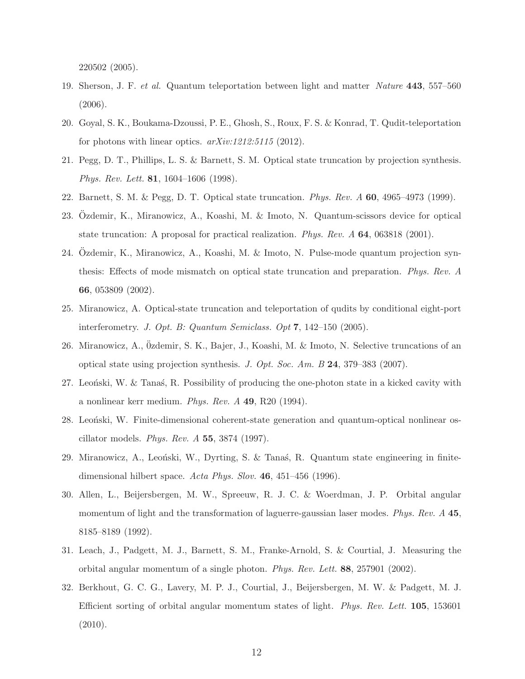220502 (2005).

- <span id="page-11-0"></span>19. Sherson, J. F. et al. Quantum teleportation between light and matter Nature 443, 557–560 (2006).
- <span id="page-11-1"></span>20. Goyal, S. K., Boukama-Dzoussi, P. E., Ghosh, S., Roux, F. S. & Konrad, T. Qudit-teleportation for photons with linear optics.  $arXiv:1212:5115$  (2012).
- <span id="page-11-2"></span>21. Pegg, D. T., Phillips, L. S. & Barnett, S. M. Optical state truncation by projection synthesis. Phys. Rev. Lett. 81, 1604–1606 (1998).
- 22. Barnett, S. M. & Pegg, D. T. Optical state truncation. Phys. Rev. A 60, 4965–4973 (1999).
- 23. Ozdemir, K., Miranowicz, A., Koashi, M. & Imoto, N. Quantum-scissors device for optical state truncation: A proposal for practical realization. *Phys. Rev. A* **64**, 063818 (2001).
- <span id="page-11-3"></span>24. Ozdemir, K., Miranowicz, A., Koashi, M. & Imoto, N. Pulse-mode quantum projection synthesis: Effects of mode mismatch on optical state truncation and preparation. Phys. Rev. A 66, 053809 (2002).
- <span id="page-11-4"></span>25. Miranowicz, A. Optical-state truncation and teleportation of qudits by conditional eight-port interferometry. J. Opt. B: Quantum Semiclass. Opt  $7, 142-150$  (2005).
- <span id="page-11-5"></span>26. Miranowicz, A., Özdemir, S. K., Bajer, J., Koashi, M. & Imoto, N. Selective truncations of an optical state using projection synthesis. J. Opt. Soc. Am. B  $24$ , 379–383 (2007).
- <span id="page-11-6"></span>27. Leonski, W. & Tanas, R. Possibility of producing the one-photon state in a kicked cavity with a nonlinear kerr medium. Phys. Rev. A 49, R20 (1994).
- 28. Leonski, W. Finite-dimensional coherent-state generation and quantum-optical nonlinear oscillator models. Phys. Rev.  $A$  55, 3874 (1997).
- <span id="page-11-7"></span>29. Miranowicz, A., Leoński, W., Dyrting, S. & Tanas, R. Quantum state engineering in finitedimensional hilbert space. Acta Phys. Slov. 46, 451–456 (1996).
- <span id="page-11-8"></span>30. Allen, L., Beijersbergen, M. W., Spreeuw, R. J. C. & Woerdman, J. P. Orbital angular momentum of light and the transformation of laguerre-gaussian laser modes. Phys. Rev. A 45, 8185–8189 (1992).
- <span id="page-11-9"></span>31. Leach, J., Padgett, M. J., Barnett, S. M., Franke-Arnold, S. & Courtial, J. Measuring the orbital angular momentum of a single photon. Phys. Rev. Lett. 88, 257901 (2002).
- <span id="page-11-10"></span>32. Berkhout, G. C. G., Lavery, M. P. J., Courtial, J., Beijersbergen, M. W. & Padgett, M. J. Efficient sorting of orbital angular momentum states of light. Phys. Rev. Lett. 105, 153601  $(2010).$